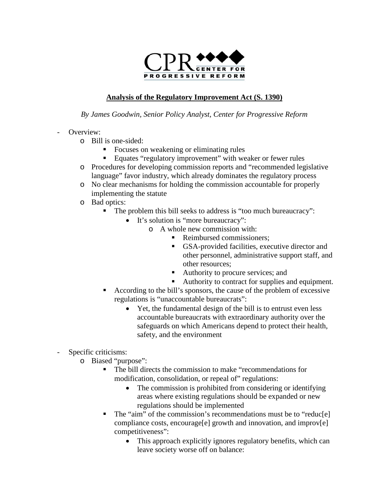

## **Analysis of the Regulatory Improvement Act (S. 1390)**

*By James Goodwin, Senior Policy Analyst, Center for Progressive Reform*

- Overview:
	- o Bill is one-sided:
		- Focuses on weakening or eliminating rules
		- Equates "regulatory improvement" with weaker or fewer rules
	- o Procedures for developing commission reports and "recommended legislative language" favor industry, which already dominates the regulatory process
	- o No clear mechanisms for holding the commission accountable for properly implementing the statute
	- o Bad optics:
		- The problem this bill seeks to address is "too much bureaucracy":
			- It's solution is "more bureaucracy":
				- o A whole new commission with:
					- Reimbursed commissioners:
					- GSA-provided facilities, executive director and other personnel, administrative support staff, and other resources;
					- Authority to procure services; and
					- Authority to contract for supplies and equipment.
		- According to the bill's sponsors, the cause of the problem of excessive regulations is "unaccountable bureaucrats":
			- Yet, the fundamental design of the bill is to entrust even less accountable bureaucrats with extraordinary authority over the safeguards on which Americans depend to protect their health, safety, and the environment
- Specific criticisms:
	- o Biased "purpose":
		- The bill directs the commission to make "recommendations for modification, consolidation, or repeal of" regulations:
			- The commission is prohibited from considering or identifying areas where existing regulations should be expanded or new regulations should be implemented
		- The "aim" of the commission's recommendations must be to "reduc[e] compliance costs, encourage[e] growth and innovation, and improv[e] competitiveness":
			- This approach explicitly ignores regulatory benefits, which can leave society worse off on balance: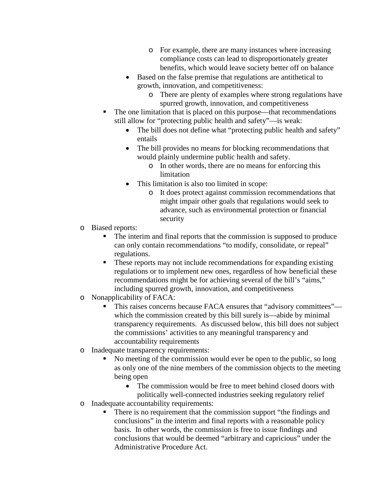- o For example, there are many instances where increasing compliance costs can lead to disproportionately greater benefits, which would leave society better off on balance
- Based on the false premise that regulations are antithetical to growth, innovation, and competitiveness:
	- o There are plenty of examples where strong regulations have spurred growth, innovation, and competitiveness
- The one limitation that is placed on this purpose—that recommendations still allow for "protecting public health and safety"—is weak:
	- The bill does not define what "protecting public health and safety" entails
	- The bill provides no means for blocking recommendations that would plainly undermine public health and safety.
		- o In other words, there are no means for enforcing this limitation
	- This limitation is also too limited in scope:
		- o It does protect against commission recommendations that might impair other goals that regulations would seek to advance, such as environmental protection or financial security
- o Biased reports:
	- The interim and final reports that the commission is supposed to produce can only contain recommendations "to modify, consolidate, or repeal" regulations.
	- These reports may not include recommendations for expanding existing regulations or to implement new ones, regardless of how beneficial these recommendations might be for achieving several of the bill's "aims," including spurred growth, innovation, and competitiveness
- o Nonapplicability of FACA:
	- This raises concerns because FACA ensures that "advisory committees" which the commission created by this bill surely is—abide by minimal transparency requirements. As discussed below, this bill does not subject the commissions' activities to any meaningful transparency and accountability requirements
- o Inadequate transparency requirements:
	- No meeting of the commission would ever be open to the public, so long as only one of the nine members of the commission objects to the meeting being open
		- The commission would be free to meet behind closed doors with politically well-connected industries seeking regulatory relief
- o Inadequate accountability requirements:
	- There is no requirement that the commission support "the findings and conclusions" in the interim and final reports with a reasonable policy basis. In other words, the commission is free to issue findings and conclusions that would be deemed "arbitrary and capricious" under the Administrative Procedure Act.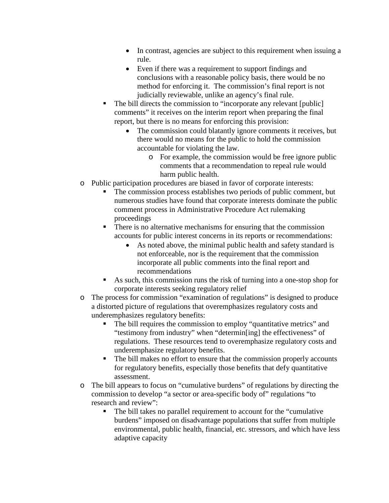- In contrast, agencies are subject to this requirement when issuing a rule.
- Even if there was a requirement to support findings and conclusions with a reasonable policy basis, there would be no method for enforcing it. The commission's final report is not judicially reviewable, unlike an agency's final rule.
- The bill directs the commission to "incorporate any relevant [public] comments" it receives on the interim report when preparing the final report, but there is no means for enforcing this provision:
	- The commission could blatantly ignore comments it receives, but there would no means for the public to hold the commission accountable for violating the law.
		- o For example, the commission would be free ignore public comments that a recommendation to repeal rule would harm public health.
- o Public participation procedures are biased in favor of corporate interests:
	- The commission process establishes two periods of public comment, but numerous studies have found that corporate interests dominate the public comment process in Administrative Procedure Act rulemaking proceedings
	- There is no alternative mechanisms for ensuring that the commission accounts for public interest concerns in its reports or recommendations:
		- As noted above, the minimal public health and safety standard is not enforceable, nor is the requirement that the commission incorporate all public comments into the final report and recommendations
	- As such, this commission runs the risk of turning into a one-stop shop for corporate interests seeking regulatory relief
- o The process for commission "examination of regulations" is designed to produce a distorted picture of regulations that overemphasizes regulatory costs and underemphasizes regulatory benefits:
	- The bill requires the commission to employ "quantitative metrics" and "testimony from industry" when "determin[ing] the effectiveness" of regulations. These resources tend to overemphasize regulatory costs and underemphasize regulatory benefits.
	- The bill makes no effort to ensure that the commission properly accounts for regulatory benefits, especially those benefits that defy quantitative assessment.
- o The bill appears to focus on "cumulative burdens" of regulations by directing the commission to develop "a sector or area-specific body of" regulations "to research and review":
	- The bill takes no parallel requirement to account for the "cumulative burdens" imposed on disadvantage populations that suffer from multiple environmental, public health, financial, etc. stressors, and which have less adaptive capacity